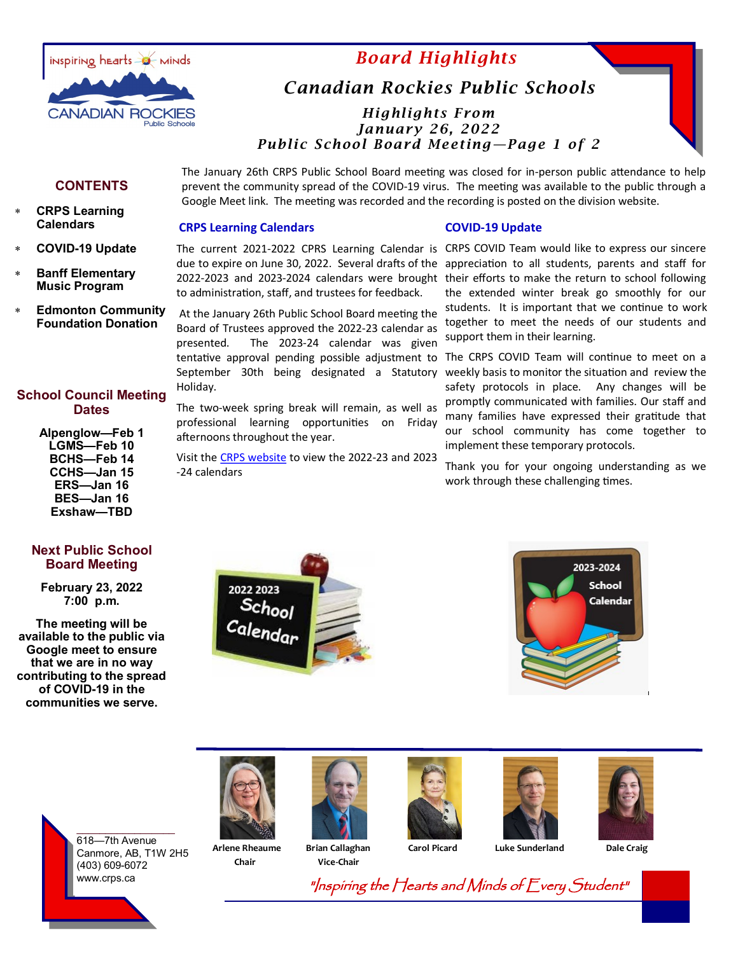

# *Board Highlights*

# *Canadian Rockies Public Schools*

## *Highlights From January 26, 2022 Public School Board Meeting—Page 1 of 2*

#### **CONTENTS**

- **CRPS Learning Calendars**
- **COVID-19 Update**
- **Banff Elementary Music Program**
- **Edmonton Community Foundation Donation**

## **School Council Meeting Dates**

**Alpenglow—Feb 1 LGMS—Feb 10 BCHS—Feb 14 CCHS—Jan 15 ERS—Jan 16 BES—Jan 16 Exshaw—TBD** 

### **Next Public School Board Meeting**

**February 23, 2022 7:00 p.m.**

**The meeting will be available to the public via Google meet to ensure that we are in no way contributing to the spread of COVID-19 in the communities we serve.**

The January 26th CRPS Public School Board meeting was closed for in-person public attendance to help prevent the community spread of the COVID-19 virus. The meeting was available to the public through a Google Meet link. The meeting was recorded and the recording is posted on the division website.

#### **CRPS Learning Calendars**

The current 2021-2022 CPRS Learning Calendar is CRPS COVID Team would like to express our sincere due to expire on June 30, 2022. Several drafts of the 2022-2023 and 2023-2024 calendars were brought their efforts to make the return to school following to administration, staff, and trustees for feedback.

At the January 26th Public School Board meeting the Board of Trustees approved the 2022-23 calendar as presented. The 2023-24 calendar was given tentative approval pending possible adjustment to The CRPS COVID Team will continue to meet on a September 30th being designated a Statutory weekly basis to monitor the situation and review the Holiday.

The two-week spring break will remain, as well as professional learning opportunities on Friday afternoons throughout the year.

Visit the [CRPS website](https://www.crps.ca/) to view the 2022-23 and 2023 -24 calendars

#### **COVID-19 Update**

appreciation to all students, parents and staff for the extended winter break go smoothly for our students. It is important that we continue to work together to meet the needs of our students and support them in their learning.

safety protocols in place. Any changes will be promptly communicated with families. Our staff and many families have expressed their gratitude that our school community has come together to implement these temporary protocols.

Thank you for your ongoing understanding as we work through these challenging times.









 **Chair Vice-Chair**









 **Arlene Rheaume Brian Callaghan Carol Picard Luke Sunderland Dale Craig** 

"Inspiring the Hearts and Minds of Every Student"